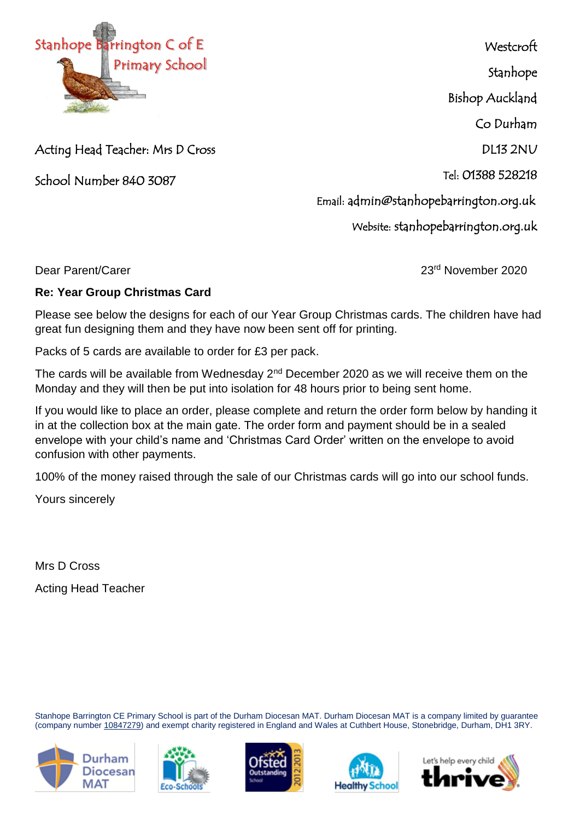

Acting Head Teacher: Mrs D Cross

School Number 840 3087

**Westcroft** 

Stanhope

Bishop Auckland

Co Durham

DL13 2NU

Tel: 01388 528218

Email: admin@stanhopebarrington.org.uk

Website: stanhopebarrington.org.uk

Dear Parent/Carer 2020

## **Re: Year Group Christmas Card**

Please see below the designs for each of our Year Group Christmas cards. The children have had great fun designing them and they have now been sent off for printing.

Packs of 5 cards are available to order for £3 per pack.

The cards will be available from Wednesday  $2<sup>nd</sup>$  December 2020 as we will receive them on the Monday and they will then be put into isolation for 48 hours prior to being sent home.

If you would like to place an order, please complete and return the order form below by handing it in at the collection box at the main gate. The order form and payment should be in a sealed envelope with your child's name and 'Christmas Card Order' written on the envelope to avoid confusion with other payments.

100% of the money raised through the sale of our Christmas cards will go into our school funds.

Yours sincerely

Mrs D Cross Acting Head Teacher

Stanhope Barrington CE Primary School is part of the Durham Diocesan MAT. Durham Diocesan MAT is a company limited by guarantee (company number [10847279\)](tel:10847279) and exempt charity registered in England and Wales at Cuthbert House, Stonebridge, Durham, DH1 3RY.